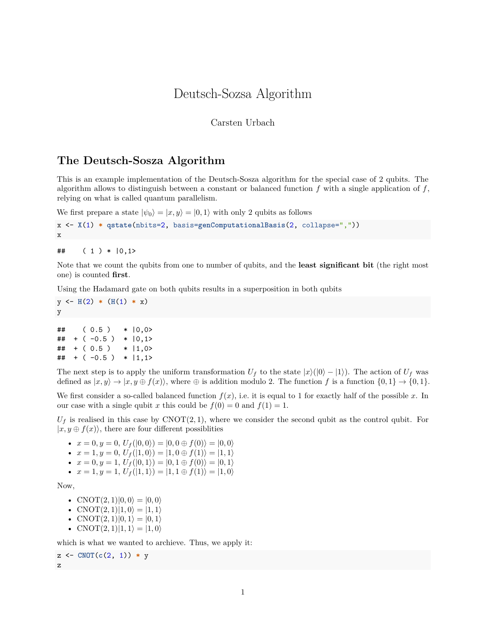## Deutsch-Sozsa Algorithm

## Carsten Urbach

## **The Deutsch-Sosza Algorithm**

This is an example implementation of the Deutsch-Sosza algorithm for the special case of 2 qubits. The algorithm allows to distinguish between a constant or balanced function *f* with a single application of *f*, relying on what is called quantum parallelism.

We first prepare a state  $|\psi_0\rangle = |x, y\rangle = |0, 1\rangle$  with only 2 qubits as follows

```
x <- X(1) * qstate(nbits=2, basis=genComputationalBasis(2, collapse=","))
x
```
 $\#$  ( 1 ) \* | 0, 1 >

Note that we count the qubits from one to number of qubits, and the **least significant bit** (the right most one) is counted **first**.

Using the Hadamard gate on both qubits results in a superposition in both qubits

 $y \leftarrow H(2) * (H(1) * x)$ y

| ## |  | (0.5)         | $* 10,0>$       |
|----|--|---------------|-----------------|
| ## |  | $+(-0.5)$     | $*  0,1\rangle$ |
|    |  | $\#$ + (0.5)  | $*$  1,0>       |
|    |  | $\#$ + (-0.5) | $*$   1,1>      |

The next step is to apply the uniform transformation  $U_f$  to the state  $|x\rangle(|0\rangle - |1\rangle)$ . The action of  $U_f$  was defined as  $|x, y\rangle \rightarrow |x, y \oplus f(x)\rangle$ , where  $\oplus$  is addition modulo 2. The function f is a function  $\{0, 1\} \rightarrow \{0, 1\}$ .

We first consider a so-called balanced function  $f(x)$ , i.e. it is equal to 1 for exactly half of the possible x. In our case with a single qubit *x* this could be  $f(0) = 0$  and  $f(1) = 1$ .

 $U_f$  is realised in this case by  $\text{CNOT}(2, 1)$ , where we consider the second qubit as the control qubit. For  $|x, y \oplus f(x)\rangle$ , there are four different possiblities

•  $x = 0, y = 0, U_f(|0,0\rangle) = |0,0 \oplus f(0)\rangle = |0,0\rangle$ 

• 
$$
x = 1, y = 0, U_f(|1,0\rangle) = |1,0 \oplus f(1)\rangle = |1,1\rangle
$$

- $x = 0, y = 1, U_f(|0, 1\rangle) = |0, 1 \oplus f(0)\rangle = |0, 1\rangle$
- $x = 1, y = 1, U_f(|1, 1\rangle) = |1, 1 \oplus f(1)\rangle = |1, 0\rangle$

Now,

- CNOT $(2, 1)|0, 0\rangle = |0, 0\rangle$
- CNOT $(2, 1)|1, 0\rangle = |1, 1\rangle$
- CNOT $(2, 1)|0, 1\rangle = |0, 1\rangle$
- CNOT $(2, 1)$  $|1, 1\rangle = |1, 0\rangle$

which is what we wanted to archieve. Thus, we apply it:

```
z <- CNOT(c(2, 1)) * y
z
```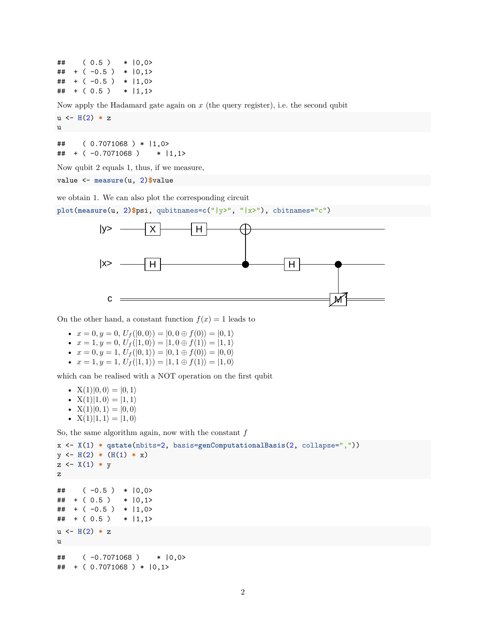$\#$  ( 0.5 ) \*  $|0,0\rangle$  $\#$  + (-0.5) \*  $|0,1\rangle$  $\#$  + (-0.5) \*  $|1,0\rangle$  $\#$  + (0.5) \* |1,1>

Now apply the Hadamard gate again on *x* (the query register), i.e. the second qubit

 $u \leftarrow H(2) * z$ u ## ( 0.7071068 ) \* |1,0>

## + ( -0.7071068 ) \* |1,1>

Now qubit 2 equals 1, thus, if we measure,

value <- **measure**(u, 2)**\$**value

we obtain 1. We can also plot the corresponding circuit

**plot**(**measure**(u, 2)**\$**psi, qubitnames=**c**("|y>", "|x>"), cbitnames="c")



On the other hand, a constant function  $f(x) = 1$  leads to

- $x = 0, y = 0, U_f(|0,0\rangle) = |0,0 \oplus f(0)\rangle = |0,1\rangle$
- $x = 1, y = 0, U_f(|1,0\rangle) = |1,0 \oplus f(1)\rangle = |1,1\rangle$
- $x = 0, y = 1, U_f(|0, 1\rangle) = |0, 1 \oplus f(0)\rangle = |0, 0\rangle$
- $x = 1, y = 1, U_f(|1, 1\rangle) = |1, 1 \oplus f(1)\rangle = |1, 0\rangle$

which can be realised with a NOT operation on the first qubit

- $X(1)|0,0\rangle = |0,1\rangle$ •  $X(1)|1,0\rangle = |1,1\rangle$
- $X(1)|0, 1\rangle = |0, 0\rangle$
- $X(1)|1, 1\rangle = |1, 0\rangle$

So, the same algorithm again, now with the constant *f*

```
x <- X(1) * qstate(nbits=2, basis=genComputationalBasis(2, collapse=","))
y \leftarrow H(2) * (H(1) * x)z \leftarrow \chi(1) * yz
\# ( -0.5 ) * |0,0\rangle\# + (0.5) * |0,1\rangle\# + (-0.5) * |1,0>
\# + (0.5) * |1,1>
u \leftarrow H(2) * zu
## ( -0.7071068 ) * |0,0>
## + ( 0.7071068 ) * |0,1>
```